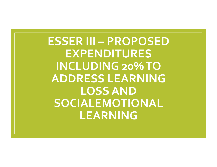**ESSER III – PROPOSED EXPENDITURES INCLUDING 20% TO ADDRESS LEARNING LOSS AND SOCIALEMOTIONAL LEARNING**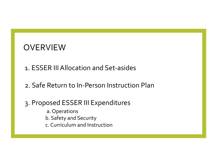## **OVERVIEW**

- 1. ESSER III Allocation and Set-asides
- 2. Safe Return to In-Person Instruction Plan
- 3. Proposed ESSER III Expenditures
	- a. Operations
	- b. Safety and Security
	- c. Curriculum and Instruction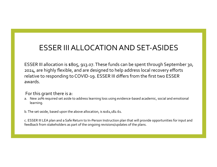## ESSER III ALLOCATION AND SET-ASIDES

ESSER III allocation is \$805, 913.07. These funds can be spent through September 30, 2024, are highly flexible, and are designed to help address local recovery efforts relative to responding to COVID-19. ESSER III differs from the first two ESSER awards. 

#### For this grant there is a:

- a. New 20% required set aside to address learning loss using evidence-based academic, social and emotional learning.
- b. The set-aside, based upon the above allocation, is \$161,182.61.

c. ESSER III LEA plan and a Safe Return to In-Person Instruction plan that will provide opportunities for input and feedback from stakeholders as part of the ongoing revisions/updates of the plans.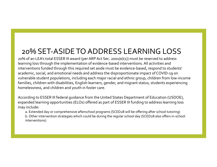## 20% SET-ASIDE TO ADDRESS LEARNING LOSS

20% of an LEA's total ESSER III award (per ARP Act Sec. 2001(e)(1)) must be reserved to address learning loss through the implementation of evidence-based interventions. All activities and interventions funded through this required set aside must be evidence-based, respond to students' academic, social, and emotional needs and address the disproportionate impact of COVID-19 on vulnerable student populations, including each major racial and ethnic group, children from low-income families, children with disabilities, English learners, gender, and migrant status, students experiencing homelessness, and children and youth in foster care.

According to ESSER III federal quidance from the United States Department of Education (USDOE), expanded learning opportunities (ELOs) offered as part of ESSER III funding to address learning loss may include:

a. Extended day or comprehensive afterschool programs (SCED28 will be offering after school tutoring) b. Other intervention strategies which could be during the regular school day (SCED28 also offers in-school interventions)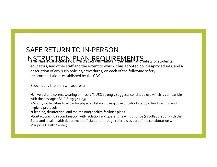## SAFE RETURN TO IN-PERSON

## $INISTR UCTIQN PLAN REMREMENTS$

educators, and other staff and the extent to which it has adopted policies/procedures, and a description of any such policies/procedures, on each of the following safety recommendations established by the CDC.

Specifically the plan will address:

•Universal and correct wearing of masks (NUSD strongly suggests continued use which is compatible with the passage of A.R.S.  $15-342.05$ )

•Modifying facilities to allow for physical distancing (e.g., use of cohorts, etc.) •Handwashing and hygiene protocols

•Cleaning, disinfecting, and maintaining healthy facilities plans

•Contact tracing in combination with isolation and quarantine will continue (in collaboration with the State and local, health department officials and through referrals as part of the collaboration with Mariposa Health Center)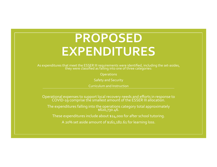# **PROPOSED EXPENDITURES**

As expenditures that meet the ESSER III requirements were identified, including the set-asides,<br>they were classified as falling into one of three categories:

**Operations** 

**Safety and Security** 

Curriculum and Instruction

Operational expenses to support local recovery needs and efforts in response to<br>COVID-19 comprise the smallest amount of the ESSER III allocation.

The expenditures falling into the operations category total approximately<br>\$620,730.46.

These expenditures include about \$24,000 for after school tutoring.

A 20% set aside amount of \$161,182.61 for learning loss.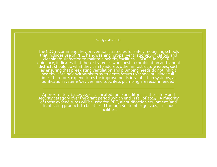Safety and Security

The CDC recommends key prevention strategies for safely reopening schools that includes use of PPE, handwashing, proper ventilation/purification, and cleaning/disinfection to maintain healthy facilities. USDOE, in ESSER III<br>guidance, indicates that these strategies work best in combination and school districts should do what they can to address other infrastructure issues, such as ensuring that preexisting ventilation and plumbing needs do not inhibit healthy learning environments as students return to school buildings fulltime. Therefore, expenditures for improvements in ventilation systems, air purification systems/devices, and touchless plumbing are recommended.

Approximately \$31,292.94 is allocated for expenditures in the safety and<br>security category over the grant period (which end in fall of 2024). A majority of these expenditures will be used for PPE, air purification equipment, and disinfecting products to be utilized through September 30, 2024 in school<br>facilities.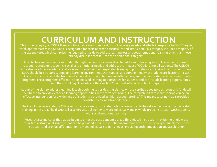## **CURRICULUM AND INSTRUCTION**

This is the category of ESSER III expenditures allocated to support district recovery needs and efforts in response to COVID-19. In total, approximately \$10,680,000 is designated for costs related to curriculum and instruction. This category includes a majority of the expenditures which comprise the required set-aside to address learning loss and social-emotional learning other than those already discussed that fall into the operational category.

All activities and interventions funded through the new 20% reservation for addressing learning loss will be evidence-based, respond to students' academic, social, and emotional needs and address the impact of COVID-19 for all students. The USDOE indicates to address academic and social-emotional learning, expanded learning opportunities (or ELOs) will be provided. These ELOs should be structured, engaging learning environments that support and complement what students are learning in class. ELOs can occur outside of the traditional school day through before- and after-school, summer, and extended-day, - week, -year programs. These programs offer more personalized learning opportunities for students and can include learning opportunities during the school day. The district offers such ELOs and will offer after school programs.

As part of the plan to address learning loss through the set-asides, the district will use certified educators as tutors and funds will be utilized to provide expanded learning opportunities in the form of tutoring. The research indicates that tutoring can be an effective intervention for a wide range of students if provided as "high dosage tutoring." This means tutoring that is provided consistently by well-trained tutors.

The County Superintendent's Office will provide a variety of social-emotional learning activities at each school and provide staff training in this area. The district will also hire a social worker to work individually and in whole group instruction wuth students with social emotional learning.

Research also indicates that, as we begin to enter the post-pandemic era, differentiated instruction may be the single most important instructional strategy that can be provided. Online instructional programs are an effective way to supplement core instruction and provide differentiation to meet individual students needs, providing both remediation and acceleration.